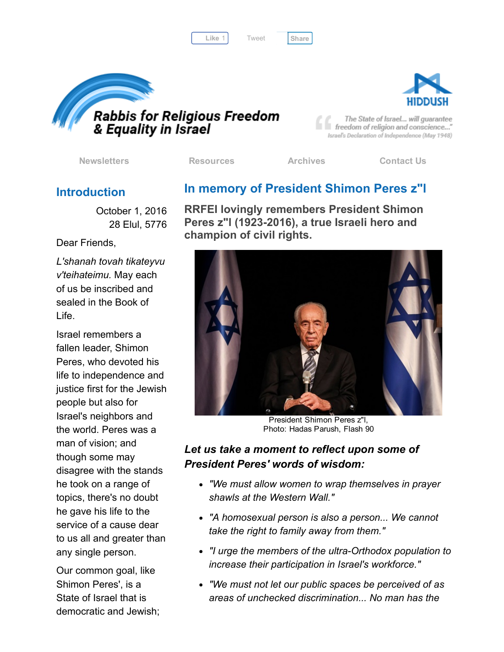Like 1 Tweet [Share](javascript:void(0);)





The State of Israel... will guarantee freedom of religion and conscience..." Israel's Declaration of Independence (May 1948)

[Newsletters](http://cts.vresp.com/c/?FreedomofReligionfor/fba5dc83c4/325ceb4427/2b373627b6) [Resources](http://cts.vresp.com/c/?FreedomofReligionfor/fba5dc83c4/325ceb4427/22f5d07e0e) [Archives](http://cts.vresp.com/c/?FreedomofReligionfor/fba5dc83c4/325ceb4427/3217ee9081) [Contact](http://cts.vresp.com/c/?FreedomofReligionfor/fba5dc83c4/325ceb4427/709ad5860b) Us

#### **Introduction**

October 1, 2016 28 Elul, 5776

#### Dear Friends,

*L'shanah tovah tikateyvu v'teihateimu.* May each of us be inscribed and sealed in the Book of Life.

Israel remembers a fallen leader, Shimon Peres, who devoted his life to independence and justice first for the Jewish people but also for Israel's neighbors and the world. Peres was a man of vision; and though some may disagree with the stands he took on a range of topics, there's no doubt he gave his life to the service of a cause dear to us all and greater than any single person.

Our common goal, like Shimon Peres', is a State of Israel that is democratic and Jewish;

# In memory of President Shimon Peres z"l

RRFEI lovingly remembers President Shimon Peres z"I (1923-2016), a true Israeli hero and champion of civil rights.



President Shimon Peres z"l, Photo: Hadas Parush, Flash 90

### *Let us take a moment to reflect upon some of President Peres' words of wisdom:*

- *"We must allow women to wrap themselves in prayer shawls at the Western Wall."*
- *"A homosexual person is also a person... We cannot take the right to family away from them."*
- *"I urge the members of the ultraOrthodox population to increase their participation in Israel's workforce."*
- *"We must not let our public spaces be perceived of as areas of unchecked discrimination... No man has the*

[Tweet](https://twitter.com/intent/tweet?original_referer=http%3A%2F%2Fhosted.verticalresponse.com%2F577764%2Ffba5dc83c4%2F1468723339%2F325ceb4427%2F&ref_src=twsrc%5Etfw&text=Bulletin%3A%20In%20memory%20of%20President%20Shimon%20Peres%20z%22l&tw_p=tweetbutton&url=http%3A%2F%2Fhosted-p0.vresp.com%2F577764%2Ffba5dc83c4%2FARCHIVE%23.V_tth7QU6OA.twitter)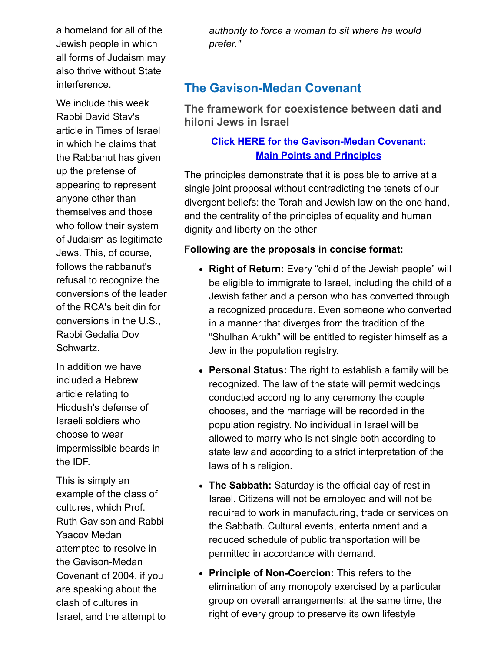a homeland for all of the Jewish people in which all forms of Judaism may also thrive without State interference.

We include this week Rabbi David Stav's article in Times of Israel in which he claims that the Rabbanut has given up the pretense of appearing to represent anyone other than themselves and those who follow their system of Judaism as legitimate Jews. This, of course, follows the rabbanut's refusal to recognize the conversions of the leader of the RCA's beit din for conversions in the U.S., Rabbi Gedalia Dov Schwartz.

In addition we have included a Hebrew article relating to Hiddush's defense of Israeli soldiers who choose to wear impermissible beards in the IDF.

This is simply an example of the class of cultures, which Prof. Ruth Gavison and Rabbi Yaacov Medan attempted to resolve in the Gavison-Medan Covenant of 2004. if you are speaking about the clash of cultures in Israel, and the attempt to

*authority to force a woman to sit where he would prefer."*

# **The Gavison-Medan Covenant**

The framework for coexistence between dati and hiloni Jews in Israel

#### **Click HERE for the Gavison-Medan Covenant: Main Points and Principles**

The principles demonstrate that it is possible to arrive at a single joint proposal without contradicting the tenets of our divergent beliefs: the Torah and Jewish law on the one hand, and the centrality of the principles of equality and human dignity and liberty on the other

#### Following are the proposals in concise format:

- Right of Return: Every "child of the Jewish people" will be eligible to immigrate to Israel, including the child of a Jewish father and a person who has converted through a recognized procedure. Even someone who converted in a manner that diverges from the tradition of the "Shulhan Arukh" will be entitled to register himself as a Jew in the population registry.
- Personal Status: The right to establish a family will be recognized. The law of the state will permit weddings conducted according to any ceremony the couple chooses, and the marriage will be recorded in the population registry. No individual in Israel will be allowed to marry who is not single both according to state law and according to a strict interpretation of the laws of his religion.
- The Sabbath: Saturday is the official day of rest in Israel. Citizens will not be employed and will not be required to work in manufacturing, trade or services on the Sabbath. Cultural events, entertainment and a reduced schedule of public transportation will be permitted in accordance with demand.
- Principle of Non-Coercion: This refers to the elimination of any monopoly exercised by a particular group on overall arrangements; at the same time, the right of every group to preserve its own lifestyle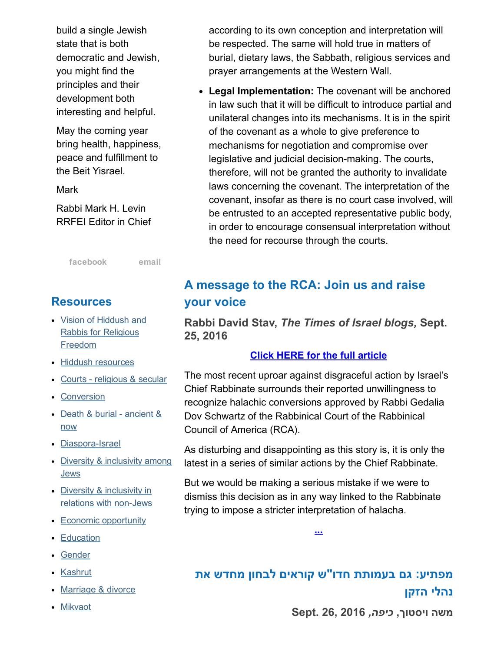build a single Jewish state that is both democratic and Jewish, you might find the principles and their development both interesting and helpful.

May the coming year bring health, happiness, peace and fulfillment to the Beit Yisrael.

**Mark** 

Rabbi Mark H. Levin RRFEI Editor in Chief

[facebook](http://cts.vresp.com/c/?FreedomofReligionfor/fba5dc83c4/325ceb4427/6188e91e59) [email](mailto:organizers@rrfei.org)

#### **Resources**

- Vision of Hiddush and Rabbis for [Religious](http://cts.vresp.com/c/?FreedomofReligionfor/fba5dc83c4/325ceb4427/218a0e959a) Freedom
- Hiddush [resources](http://cts.vresp.com/c/?FreedomofReligionfor/fba5dc83c4/325ceb4427/5ca82383de)
- Courts [religious](http://cts.vresp.com/c/?FreedomofReligionfor/fba5dc83c4/325ceb4427/0640cca70c) & secular
- [Conversion](http://cts.vresp.com/c/?FreedomofReligionfor/fba5dc83c4/325ceb4427/574ea22661)
- Death & burial [ancient](http://cts.vresp.com/c/?FreedomofReligionfor/fba5dc83c4/325ceb4427/2511d3b3bd) & now
- Diaspora-Israel
- Diversity & [inclusivity](http://cts.vresp.com/c/?FreedomofReligionfor/fba5dc83c4/325ceb4427/862c85d5c1) among **Jews**
- Diversity & inclusivity in relations with non-Jews
- Economic [opportunity](http://cts.vresp.com/c/?FreedomofReligionfor/fba5dc83c4/325ceb4427/984a2fefca)
- [Education](http://cts.vresp.com/c/?FreedomofReligionfor/fba5dc83c4/325ceb4427/5bc9d1a808)
- [Gender](http://cts.vresp.com/c/?FreedomofReligionfor/fba5dc83c4/325ceb4427/483c925f86)
- [Kashrut](http://cts.vresp.com/c/?FreedomofReligionfor/fba5dc83c4/325ceb4427/53af9a6b90)
- [Marriage](http://cts.vresp.com/c/?FreedomofReligionfor/fba5dc83c4/325ceb4427/2383734c44) & divorce
- [Mikvaot](http://cts.vresp.com/c/?FreedomofReligionfor/fba5dc83c4/325ceb4427/0a4b4be302)

according to its own conception and interpretation will be respected. The same will hold true in matters of burial, dietary laws, the Sabbath, religious services and prayer arrangements at the Western Wall.

• Legal Implementation: The covenant will be anchored in law such that it will be difficult to introduce partial and unilateral changes into its mechanisms. It is in the spirit of the covenant as a whole to give preference to mechanisms for negotiation and compromise over legislative and judicial decision-making. The courts, therefore, will not be granted the authority to invalidate laws concerning the covenant. The interpretation of the covenant, insofar as there is no court case involved, will be entrusted to an accepted representative public body, in order to encourage consensual interpretation without the need for recourse through the courts.

# A message to the RCA: Join us and raise your voice

Rabbi David Stav, *The Times of Israel blogs,* Sept. 25, 2016

#### Click HERE for the full [article](http://cts.vresp.com/c/?FreedomofReligionfor/fba5dc83c4/325ceb4427/d7fa0345bc)

The most recent uproar against disgraceful action by Israel's Chief Rabbinate surrounds their reported unwillingness to recognize halachic conversions approved by Rabbi Gedalia Dov Schwartz of the Rabbinical Court of the Rabbinical Council of America (RCA).

As disturbing and disappointing as this story is, it is only the latest in a series of similar actions by the Chief Rabbinate.

But we would be making a serious mistake if we were to dismiss this decision as in any way linked to the Rabbinate trying to impose a stricter interpretation of halacha.

[...](http://cts.vresp.com/c/?FreedomofReligionfor/fba5dc83c4/325ceb4427/213b17a367)

# מפתיע: גם בעמותת חדו"ש קוראים לבחון מחדש את נהלי הזקן

משה ויסטוך, *כיפה,* 2016 26, .Sept